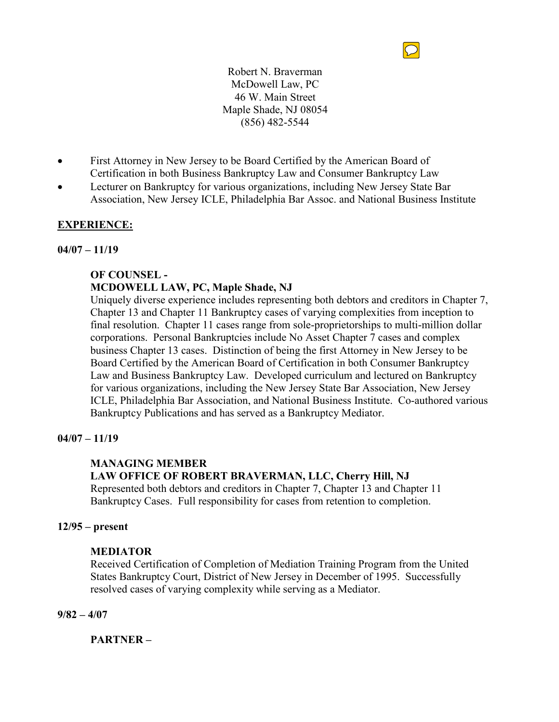

Robert N. Braverman McDowell Law, PC 46 W. Main Street Maple Shade, NJ 08054 (856) 482-5544

- First Attorney in New Jersey to be Board Certified by the American Board of Certification in both Business Bankruptcy Law and Consumer Bankruptcy Law
- Lecturer on Bankruptcy for various organizations, including New Jersey State Bar Association, New Jersey ICLE, Philadelphia Bar Assoc. and National Business Institute

# **EXPERIENCE:**

### **04/07 – 11/19**

# **OF COUNSEL -**

# **MCDOWELL LAW, PC, Maple Shade, NJ**

Uniquely diverse experience includes representing both debtors and creditors in Chapter 7, Chapter 13 and Chapter 11 Bankruptcy cases of varying complexities from inception to final resolution. Chapter 11 cases range from sole-proprietorships to multi-million dollar corporations. Personal Bankruptcies include No Asset Chapter 7 cases and complex business Chapter 13 cases. Distinction of being the first Attorney in New Jersey to be Board Certified by the American Board of Certification in both Consumer Bankruptcy Law and Business Bankruptcy Law. Developed curriculum and lectured on Bankruptcy for various organizations, including the New Jersey State Bar Association, New Jersey ICLE, Philadelphia Bar Association, and National Business Institute. Co-authored various Bankruptcy Publications and has served as a Bankruptcy Mediator.

# **04/07 – 11/19**

# **MANAGING MEMBER**

# **LAW OFFICE OF ROBERT BRAVERMAN, LLC, Cherry Hill, NJ**

Represented both debtors and creditors in Chapter 7, Chapter 13 and Chapter 11 Bankruptcy Cases. Full responsibility for cases from retention to completion.

#### **12/95 – present**

#### **MEDIATOR**

Received Certification of Completion of Mediation Training Program from the United States Bankruptcy Court, District of New Jersey in December of 1995. Successfully resolved cases of varying complexity while serving as a Mediator.

**9/82 – 4/07**

**PARTNER –**